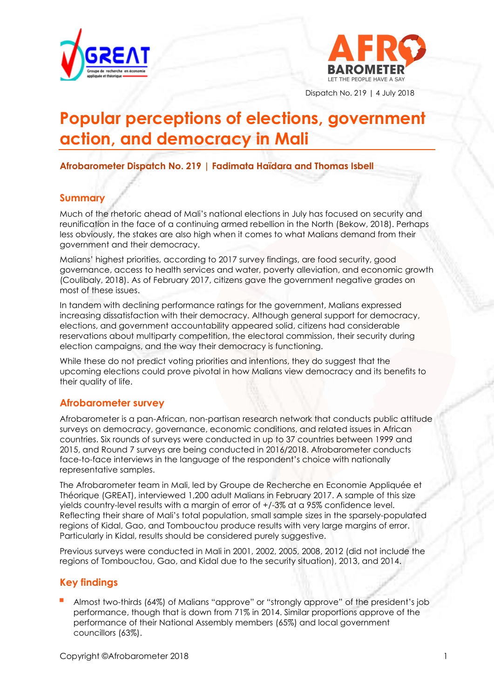



Dispatch No. 219 | 4 July 2018

# **Popular perceptions of elections, government action, and democracy in Mali**

**Afrobarometer Dispatch No. 219 | Fadimata Haïdara and Thomas Isbell** 

# **Summary**

Much of the rhetoric ahead of Mali's national elections in July has focused on security and reunification in the face of a continuing armed rebellion in the North (Bekow, 2018). Perhaps less obviously, the stakes are also high when it comes to what Malians demand from their government and their democracy.

Malians' highest priorities, according to 2017 survey findings, are food security, good governance, access to health services and water, poverty alleviation, and economic growth (Coulibaly, 2018). As of February 2017, citizens gave the government negative grades on most of these issues.

In tandem with declining performance ratings for the government, Malians expressed increasing dissatisfaction with their democracy. Although general support for democracy, elections, and government accountability appeared solid, citizens had considerable reservations about multiparty competition, the electoral commission, their security during election campaigns, and the way their democracy is functioning.

While these do not predict voting priorities and intentions, they do suggest that the upcoming elections could prove pivotal in how Malians view democracy and its benefits to their quality of life.

#### **Afrobarometer survey**

Afrobarometer is a pan-African, non-partisan research network that conducts public attitude surveys on democracy, governance, economic conditions, and related issues in African countries. Six rounds of surveys were conducted in up to 37 countries between 1999 and 2015, and Round 7 surveys are being conducted in 2016/2018. Afrobarometer conducts face-to-face interviews in the language of the respondent's choice with nationally representative samples.

The Afrobarometer team in Mali, led by Groupe de Recherche en Economie Appliquée et Théorique (GREAT), interviewed 1,200 adult Malians in February 2017. A sample of this size yields country-level results with a margin of error of +/-3% at a 95% confidence level. Reflecting their share of Mali's total population, small sample sizes in the sparsely-populated regions of Kidal, Gao, and Tombouctou produce results with very large margins of error. Particularly in Kidal, results should be considered purely suggestive.

Previous surveys were conducted in Mali in 2001, 2002, 2005, 2008, 2012 (did not include the regions of Tombouctou, Gao, and Kidal due to the security situation), 2013, and 2014.

# **Key findings**

 Almost two-thirds (64%) of Malians "approve" or "strongly approve" of the president's job performance, though that is down from 71% in 2014. Similar proportions approve of the performance of their National Assembly members (65%) and local government councillors (63%).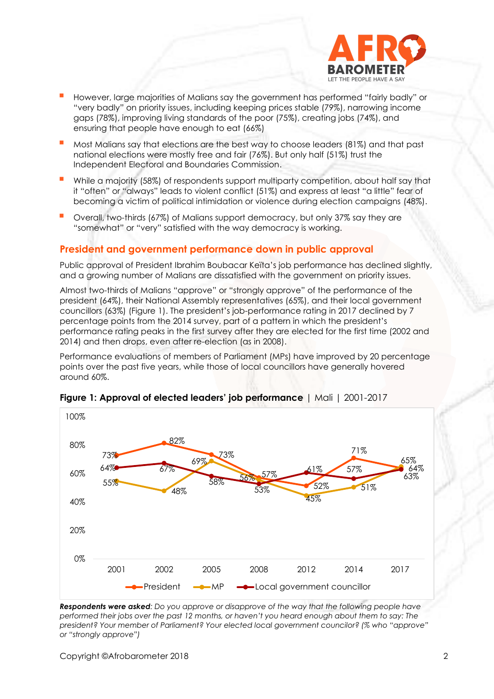

- However, large majorities of Malians say the government has performed "fairly badly" or "very badly" on priority issues, including keeping prices stable (79%), narrowing income gaps (78%), improving living standards of the poor (75%), creating jobs (74%), and ensuring that people have enough to eat (66%)
- Most Malians say that elections are the best way to choose leaders (81%) and that past national elections were mostly free and fair (76%). But only half (51%) trust the Independent Electoral and Boundaries Commission.
- While a majority (58%) of respondents support multiparty competition, about half say that it "often" or "always" leads to violent conflict (51%) and express at least "a little" fear of becoming a victim of political intimidation or violence during election campaigns (48%).
- Overall, two-thirds (67%) of Malians support democracy, but only 37% say they are "somewhat" or "very" satisfied with the way democracy is working.

#### **President and government performance down in public approval**

Public approval of President Ibrahim Boubacar Keïta's job performance has declined slightly, and a growing number of Malians are dissatisfied with the government on priority issues.

Almost two-thirds of Malians "approve" or "strongly approve" of the performance of the president (64%), their National Assembly representatives (65%), and their local government councillors (63%) (Figure 1). The president's job-performance rating in 2017 declined by 7 percentage points from the 2014 survey, part of a pattern in which the president's performance rating peaks in the first survey after they are elected for the first time (2002 and 2014) and then drops, even after re-election (as in 2008).

Performance evaluations of members of Parliament (MPs) have improved by 20 percentage points over the past five years, while those of local councillors have generally hovered around 60%.



**Figure 1: Approval of elected leaders' job performance** | Mali | 2001-2017

*Respondents were asked: Do you approve or disapprove of the way that the following people have performed their jobs over the past 12 months, or haven't you heard enough about them to say: The president? Your member of Parliament? Your elected local government councilor? (% who "approve" or "strongly approve")*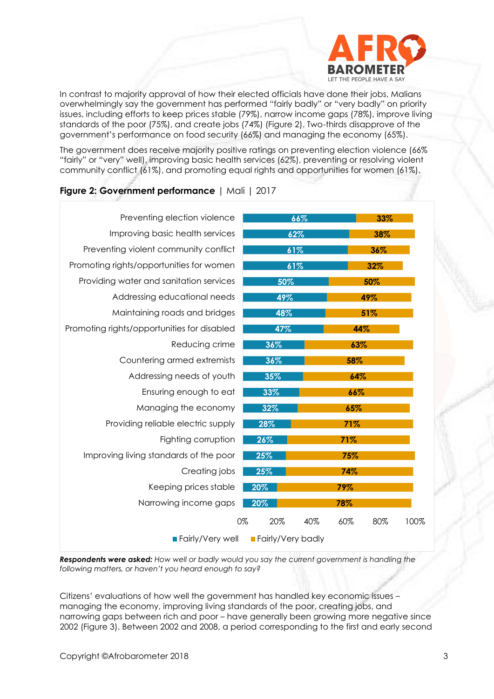

In contrast to majority approval of how their elected officials have done their jobs, Malians overwhelmingly say the government has performed "fairly badly" or "very badly" on priority issues, including efforts to keep prices stable (79%), narrow income gaps (78%), improve living standards of the poor (75%), and create jobs (74%) (Figure 2). Two-thirds disapprove of the government's performance on food security (66%) and managing the economy (65%).

The government does receive majority positive ratings on preventing election violence (66% "fairly" or "very" well), improving basic health services (62%), preventing or resolving violent community conflict (61%), and promoting equal rights and opportunities for women (61%).

|                          | 33%                |  |
|--------------------------|--------------------|--|
| 62%                      | 38%                |  |
| 61%                      | 36%                |  |
| 61%                      | 32%                |  |
| 50%                      | 50%                |  |
| 49%                      | 49%                |  |
| 48%                      | 51%                |  |
| 47%                      | 44%                |  |
| 36%                      | 63%                |  |
| 36%                      | 58%                |  |
| 35%<br>64%               |                    |  |
| 33%<br>66%               |                    |  |
| 32%<br>65%               |                    |  |
| 28%                      | 71%                |  |
| 26%                      | 71%                |  |
| 25%                      | 75%                |  |
| 25%                      | 74%                |  |
| 20%                      | 79%                |  |
| 20%                      | 78%                |  |
| 20%<br>40%               | 60%<br>100%<br>80% |  |
| <b>Fairly/Very badly</b> |                    |  |
|                          | 66%<br>0%          |  |

#### **Figure 2: Government performance** | Mali | 2017

*Respondents were asked: How well or badly would you say the current government is handling the following matters, or haven't you heard enough to say?*

Citizens' evaluations of how well the government has handled key economic issues – managing the economy, improving living standards of the poor, creating jobs, and narrowing gaps between rich and poor – have generally been growing more negative since 2002 (Figure 3). Between 2002 and 2008, a period corresponding to the first and early second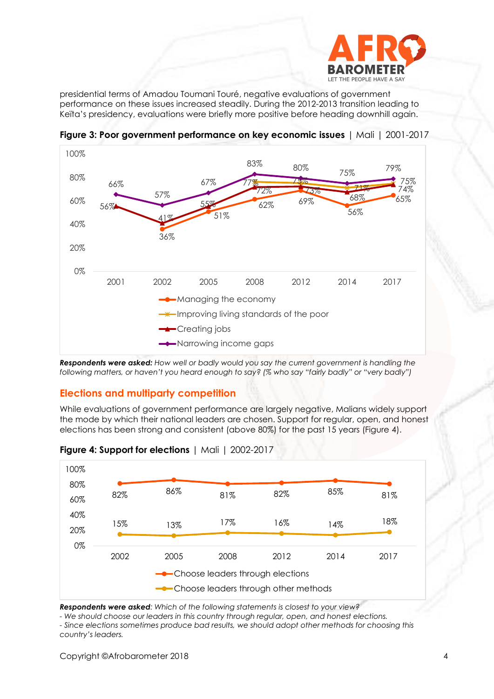

presidential terms of Amadou Toumani Touré, negative evaluations of government performance on these issues increased steadily. During the 2012-2013 transition leading to Keïta's presidency, evaluations were briefly more positive before heading downhill again.



**Figure 3: Poor government performance on key economic issues** | Mali | 2001-2017

*Respondents were asked: How well or badly would you say the current government is handling the following matters, or haven't you heard enough to say? (% who say "fairly badly" or "very badly")*

# **Elections and multiparty competition**

While evaluations of government performance are largely negative, Malians widely support the mode by which their national leaders are chosen. Support for regular, open, and honest elections has been strong and consistent (above 80%) for the past 15 years (Figure 4).



**Figure 4: Support for elections** | Mali | 2002-2017

*Respondents were asked: Which of the following statements is closest to your view?* 

*- We should choose our leaders in this country through regular, open, and honest elections. - Since elections sometimes produce bad results, we should adopt other methods for choosing this country's leaders.*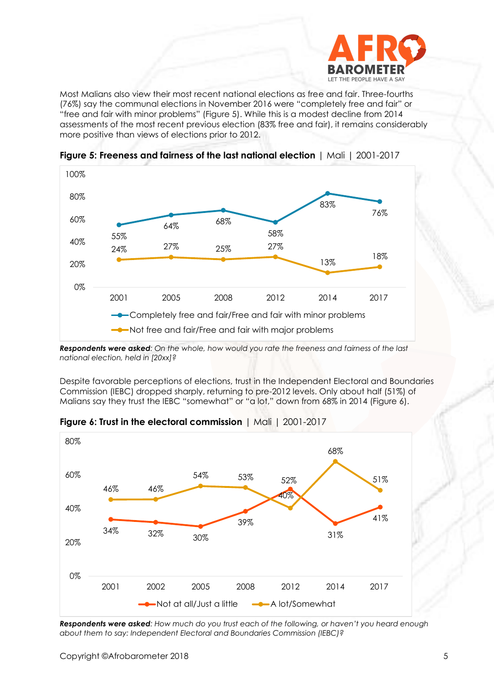

Most Malians also view their most recent national elections as free and fair. Three-fourths (76%) say the communal elections in November 2016 were "completely free and fair" or "free and fair with minor problems" (Figure 5). While this is a modest decline from 2014 assessments of the most recent previous election (83% free and fair), it remains considerably more positive than views of elections prior to 2012.



**Figure 5: Freeness and fairness of the last national election** | Mali | 2001-2017

*Respondents were asked: On the whole, how would you rate the freeness and fairness of the last national election, held in [20xx]?*

Despite favorable perceptions of elections, trust in the Independent Electoral and Boundaries Commission (IEBC) dropped sharply, returning to pre-2012 levels. Only about half (51%) of Malians say they trust the IEBC "somewhat" or "a lot," down from 68% in 2014 (Figure 6).



**Figure 6: Trust in the electoral commission** | Mali | 2001-2017

*Respondents were asked: How much do you trust each of the following, or haven't you heard enough about them to say: Independent Electoral and Boundaries Commission (IEBC)?*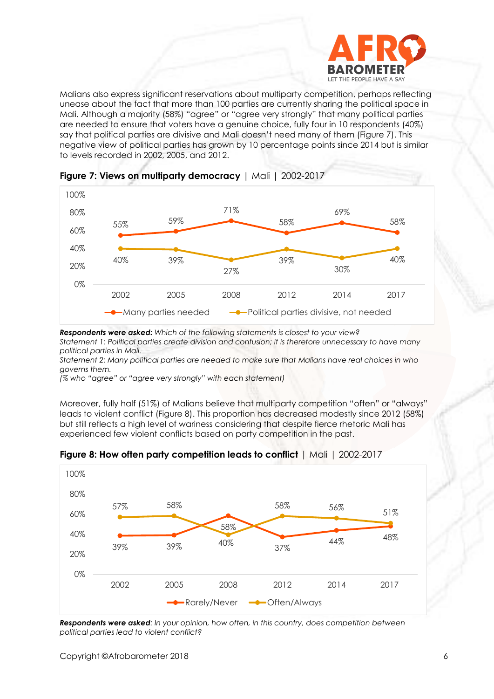

Malians also express significant reservations about multiparty competition, perhaps reflecting unease about the fact that more than 100 parties are currently sharing the political space in Mali. Although a majority (58%) "agree" or "agree very strongly" that many political parties are needed to ensure that voters have a genuine choice, fully four in 10 respondents (40%) say that political parties are divisive and Mali doesn't need many of them (Figure 7). This negative view of political parties has grown by 10 percentage points since 2014 but is similar to levels recorded in 2002, 2005, and 2012.





*Respondents were asked: Which of the following statements is closest to your view? Statement 1: Political parties create division and confusion; it is therefore unnecessary to have many political parties in Mali.* 

*Statement 2: Many political parties are needed to make sure that Malians have real choices in who governs them.*

*(% who "agree" or "agree very strongly" with each statement)*

Moreover, fully half (51%) of Malians believe that multiparty competition "often" or "always" leads to violent conflict (Figure 8). This proportion has decreased modestly since 2012 (58%) but still reflects a high level of wariness considering that despite fierce rhetoric Mali has experienced few violent conflicts based on party competition in the past.



**Figure 8: How often party competition leads to conflict** | Mali | 2002-2017

*Respondents were asked: In your opinion, how often, in this country, does competition between political parties lead to violent conflict?*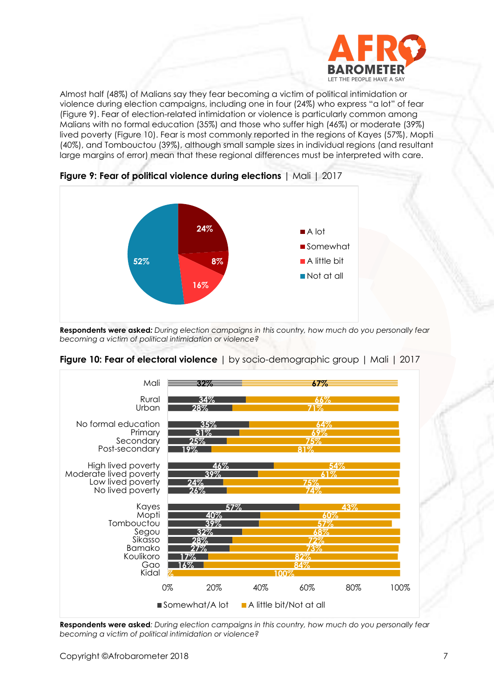

Almost half (48%) of Malians say they fear becoming a victim of political intimidation or violence during election campaigns, including one in four (24%) who express "a lot" of fear (Figure 9). Fear of election-related intimidation or violence is particularly common among Malians with no formal education (35%) and those who suffer high (46%) or moderate (39%) lived poverty (Figure 10). Fear is most commonly reported in the regions of Kayes (57%), Mopti (40%), and Tombouctou (39%), although small sample sizes in individual regions (and resultant large margins of error) mean that these regional differences must be interpreted with care.



**Figure 9: Fear of political violence during elections** | Mali | 2017

**Respondents were asked***: During election campaigns in this country, how much do you personally fear becoming a victim of political intimidation or violence?*



**Figure 10: Fear of electoral violence** | by socio-demographic group | Mali | 2017

**Respondents were asked***: During election campaigns in this country, how much do you personally fear becoming a victim of political intimidation or violence?*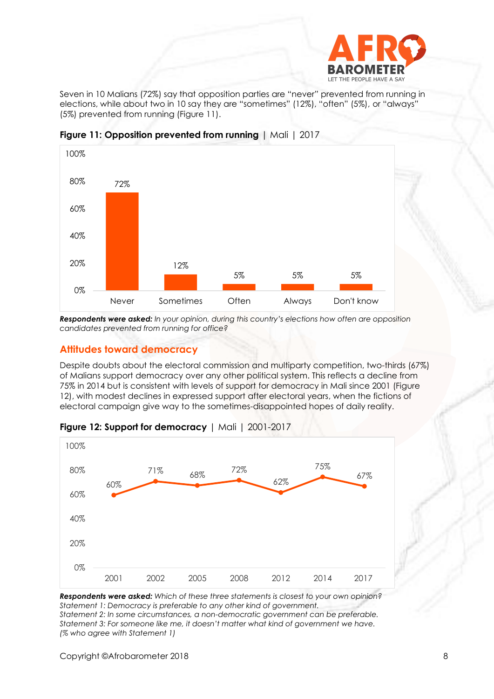

Seven in 10 Malians (72%) say that opposition parties are "never" prevented from running in elections, while about two in 10 say they are "sometimes" (12%), "often" (5%), or "always" (5%) prevented from running (Figure 11).



**Figure 11: Opposition prevented from running** | Mali | 2017

*Respondents were asked: In your opinion, during this country's elections how often are opposition candidates prevented from running for office?*

### **Attitudes toward democracy**

Despite doubts about the electoral commission and multiparty competition, two-thirds (67%) of Malians support democracy over any other political system. This reflects a decline from 75% in 2014 but is consistent with levels of support for democracy in Mali since 2001 (Figure 12), with modest declines in expressed support after electoral years, when the fictions of electoral campaign give way to the sometimes-disappointed hopes of daily reality.



| Figure 12: Support for democracy   Mali   2001-2017 |  |  |
|-----------------------------------------------------|--|--|
|-----------------------------------------------------|--|--|

*Respondents were asked: Which of these three statements is closest to your own opinion? Statement 1: Democracy is preferable to any other kind of government. Statement 2: In some circumstances, a non-democratic government can be preferable. Statement 3: For someone like me, it doesn't matter what kind of government we have. (% who agree with Statement 1)*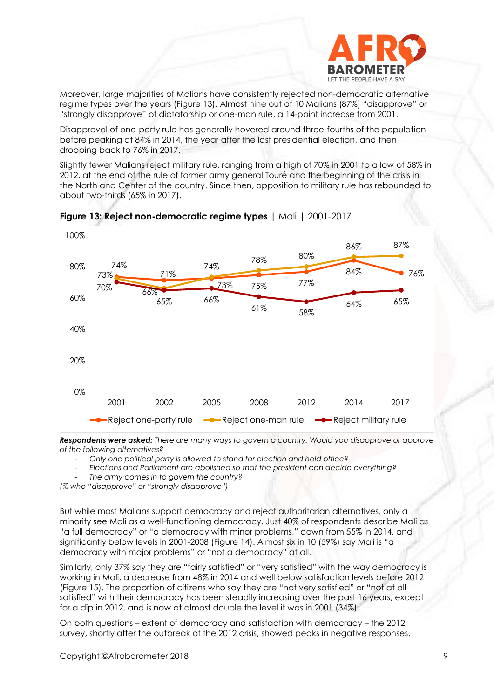

Moreover, large majorities of Malians have consistently rejected non-democratic alternative regime types over the years (Figure 13). Almost nine out of 10 Malians (87%) "disapprove" or "strongly disapprove" of dictatorship or one-man rule, a 14-point increase from 2001.

Disapproval of one-party rule has generally hovered around three-fourths of the population before peaking at 84% in 2014, the year after the last presidential election, and then dropping back to 76% in 2017.

Slightly fewer Malians reject military rule, ranging from a high of 70% in 2001 to a low of 58% in 2012, at the end of the rule of former army general Touré and the beginning of the crisis in the North and Center of the country. Since then, opposition to military rule has rebounded to about two-thirds (65% in 2017).



#### **Figure 13: Reject non-democratic regime types |** Mali | 2001-2017

*Respondents were asked: There are many ways to govern a country. Would you disapprove or approve of the following alternatives?* 

- *Only one political party is allowed to stand for election and hold office?*
- *Elections and Parliament are abolished so that the president can decide everything?*

- *The army comes in to govern the country?*

*(% who "disapprove" or "strongly disapprove")*

But while most Malians support democracy and reject authoritarian alternatives, only a minority see Mali as a well-functioning democracy. Just 40% of respondents describe Mali as "a full democracy" or "a democracy with minor problems," down from 55% in 2014, and significantly below levels in 2001-2008 (Figure 14). Almost six in 10 (59%) say Mali is "a democracy with major problems" or "not a democracy" at all.

Similarly, only 37% say they are "fairly satisfied" or "very satisfied" with the way democracy is working in Mali, a decrease from 48% in 2014 and well below satisfaction levels before 2012 (Figure 15). The proportion of citizens who say they are "not very satisfied" or "not at all satisfied" with their democracy has been steadily increasing over the past 16 years, except for a dip in 2012, and is now at almost double the level it was in 2001 (34%).

On both questions – extent of democracy and satisfaction with democracy – the 2012 survey, shortly after the outbreak of the 2012 crisis, showed peaks in negative responses.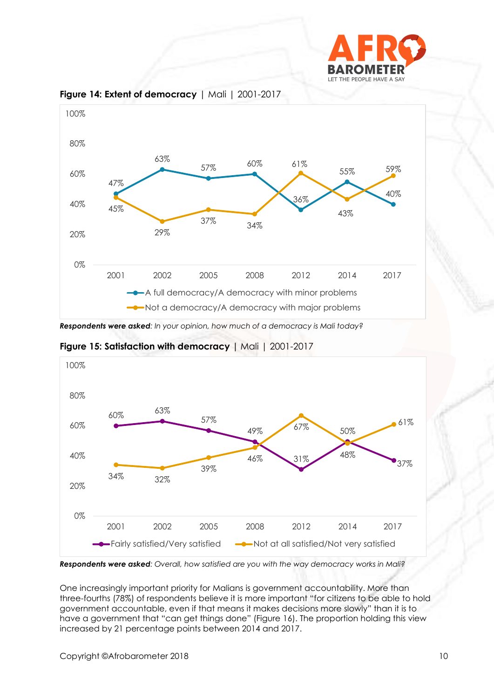



**Figure 14: Extent of democracy** | Mali | 2001-2017

*Respondents were asked: In your opinion, how much of a democracy is Mali today?*

**Figure 15: Satisfaction with democracy |** Mali | 2001-2017



*Respondents were asked: Overall, how satisfied are you with the way democracy works in Mali?*

One increasingly important priority for Malians is government accountability. More than three-fourths (78%) of respondents believe it is more important "for citizens to be able to hold government accountable, even if that means it makes decisions more slowly" than it is to have a government that "can get things done" (Figure 16). The proportion holding this view increased by 21 percentage points between 2014 and 2017.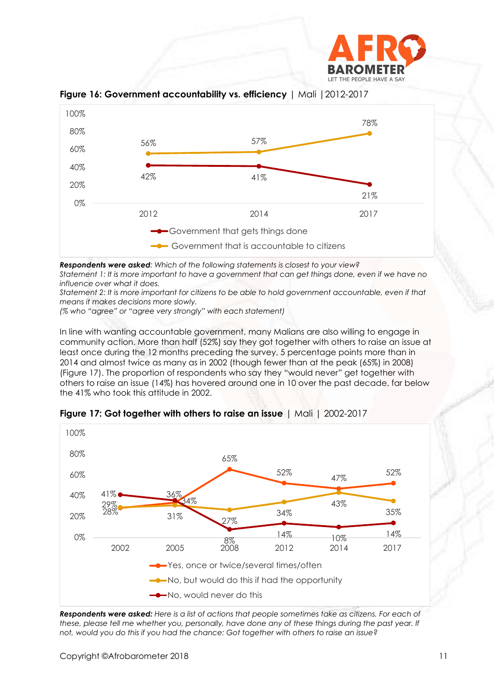



**Figure 16: Government accountability vs. efficiency** | Mali |2012-2017

*Respondents were asked: Which of the following statements is closest to your view?* 

*Statement 1: It is more important to have a government that can get things done, even if we have no influence over what it does.* 

*Statement 2: It is more important for citizens to be able to hold government accountable, even if that means it makes decisions more slowly.*

*(% who "agree" or "agree very strongly" with each statement)*

In line with wanting accountable government, many Malians are also willing to engage in community action. More than half (52%) say they got together with others to raise an issue at least once during the 12 months preceding the survey, 5 percentage points more than in 2014 and almost twice as many as in 2002 (though fewer than at the peak (65%) in 2008) (Figure 17). The proportion of respondents who say they "would never" get together with others to raise an issue (14%) has hovered around one in 10 over the past decade, far below the 41% who took this attitude in 2002.



**Figure 17: Got together with others to raise an issue** | Mali | 2002-2017

*Respondents were asked: Here is a list of actions that people sometimes take as citizens. For each of*  these, please tell me whether you, personally, have done any of these things during the past year. If *not, would you do this if you had the chance: Got together with others to raise an issue?*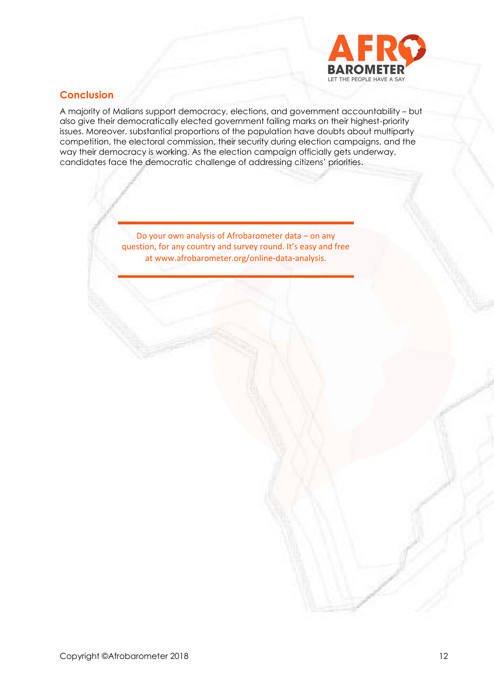

# **Conclusion**

A majority of Malians support democracy, elections, and government accountability – but also give their democratically elected government failing marks on their highest-priority issues. Moreover, substantial proportions of the population have doubts about multiparty competition, the electoral commission, their security during election campaigns, and the way their democracy is working. As the election campaign officially gets underway, candidates face the democratic challenge of addressing citizens' priorities.

> Do your own analysis of Afrobarometer data – on any question, for any country and survey round. It's easy and free at www.afrobarometer.org/online-data-analysis.